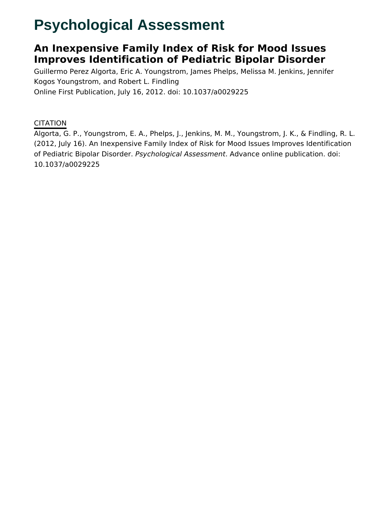# **Psychological Assessment**

# **An Inexpensive Family Index of Risk for Mood Issues Improves Identification of Pediatric Bipolar Disorder**

Guillermo Perez Algorta, Eric A. Youngstrom, James Phelps, Melissa M. Jenkins, Jennifer Kogos Youngstrom, and Robert L. Findling Online First Publication, July 16, 2012. doi: 10.1037/a0029225

# **CITATION**

Algorta, G. P., Youngstrom, E. A., Phelps, J., Jenkins, M. M., Youngstrom, J. K., & Findling, R. L. (2012, July 16). An Inexpensive Family Index of Risk for Mood Issues Improves Identification of Pediatric Bipolar Disorder. Psychological Assessment. Advance online publication. doi: 10.1037/a0029225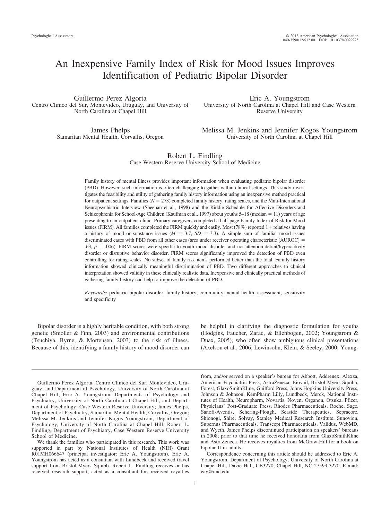# An Inexpensive Family Index of Risk for Mood Issues Improves Identification of Pediatric Bipolar Disorder

Guillermo Perez Algorta Centro Clinico del Sur, Montevideo, Uruguay, and University of North Carolina at Chapel Hill

Eric A. Youngstrom University of North Carolina at Chapel Hill and Case Western Reserve University

James Phelps Samaritan Mental Health, Corvallis, Oregon Melissa M. Jenkins and Jennifer Kogos Youngstrom University of North Carolina at Chapel Hill

## Robert L. Findling Case Western Reserve University School of Medicine

Family history of mental illness provides important information when evaluating pediatric bipolar disorder (PBD). However, such information is often challenging to gather within clinical settings. This study investigates the feasibility and utility of gathering family history information using an inexpensive method practical for outpatient settings. Families ( $N = 273$ ) completed family history, rating scales, and the Mini-International Neuropsychiatric Interview (Sheehan et al., 1998) and the Kiddie Schedule for Affective Disorders and Schizophrenia for School-Age Children (Kaufman et al., 1997) about youths 5–18 (median = 11) years of age presenting to an outpatient clinic. Primary caregivers completed a half-page Family Index of Risk for Mood issues (FIRM). All families completed the FIRM quickly and easily. Most (78%) reported 1+ relatives having a history of mood or substance issues ( $M = 3.7$ ,  $SD = 3.3$ ). A simple sum of familial mood issues discriminated cases with PBD from all other cases (area under receiver operating characteristic [AUROC] .63,  $p = .006$ ). FIRM scores were specific to youth mood disorder and not attention-deficit/hyperactivity disorder or disruptive behavior disorder. FIRM scores significantly improved the detection of PBD even controlling for rating scales. No subset of family risk items performed better than the total. Family history information showed clinically meaningful discrimination of PBD. Two different approaches to clinical interpretation showed validity in these clinically realistic data. Inexpensive and clinically practical methods of gathering family history can help to improve the detection of PBD.

*Keywords:* pediatric bipolar disorder, family history, community mental health, assessment, sensitivity and specificity

Bipolar disorder is a highly heritable condition, with both strong genetic (Smoller & Finn, 2003) and environmental contributions (Tsuchiya, Byrne, & Mortensen, 2003) to the risk of illness. Because of this, identifying a family history of mood disorder can be helpful in clarifying the diagnostic formulation for youths (Hodgins, Faucher, Zarac, & Ellenbogen, 2002; Youngstrom & Duax, 2005), who often show ambiguous clinical presentations (Axelson et al., 2006; Lewinsohn, Klein, & Seeley, 2000; Young-

Guillermo Perez Algorta, Centro Clinico del Sur, Montevideo, Uruguay, and Department of Psychology, University of North Carolina at Chapel Hill; Eric A. Youngstrom, Departments of Psychology and Psychiatry, University of North Carolina at Chapel Hill, and Department of Psychology, Case Western Reserve University; James Phelps, Department of Psychiatry, Samaritan Mental Health, Corvallis, Oregon; Melissa M. Jenkins and Jennifer Kogos Youngstrom, Department of Psychology, University of North Carolina at Chapel Hill; Robert L. Findling, Department of Psychiatry, Case Western Reserve University School of Medicine.

We thank the families who participated in this research. This work was supported in part by National Institutes of Health (NIH) Grant R01MH066647 (principal investigator: Eric A. Youngstrom). Eric A. Youngstrom has acted as a consultant with Lundbeck and received travel support from Bristol-Myers Squibb. Robert L. Findling receives or has received research support, acted as a consultant for, received royalties

from, and/or served on a speaker's bureau for Abbott, Addrenex, Alexza, American Psychiatric Press, AstraZeneca, Biovail, Bristol-Myers Squibb, Forest, GlaxoSmithKline, Guilford Press, Johns Hopkins University Press, Johnson & Johnson, KemPharm Lilly, Lundbeck, Merck, National Institutes of Health, Neuropharm, Novartis, Noven, Organon, Otsuka, Pfizer, Physicians' Post-Graduate Press, Rhodes Pharmaceuticals, Roche, Sage, Sanofi-Aventis, Schering-Plough, Seaside Therapeutics, Sepracore, Shionogi, Shire, Solvay, Stanley Medical Research Institute, Sunovion, Supernus Pharmaceuticals, Transcept Pharmaceuticals, Validus, WebMD, and Wyeth. James Phelps discontinued participation on speakers' bureaus in 2008; prior to that time he received honoraria from GlaxoSmithKline and AstraZeneca. He receives royalties from McGraw-Hill for a book on bipolar II in adults.

Correspondence concerning this article should be addressed to Eric A. Youngstrom, Department of Psychology, University of North Carolina at Chapel Hill, Davie Hall, CB3270, Chapel Hill, NC 27599-3270. E-mail: eay@unc.edu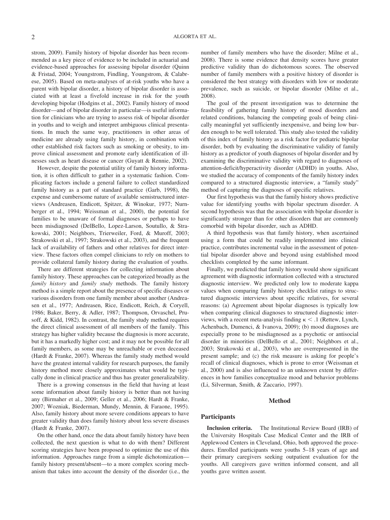strom, 2009). Family history of bipolar disorder has been recommended as a key piece of evidence to be included in actuarial and evidence-based approaches for assessing bipolar disorder (Quinn & Fristad, 2004; Youngstrom, Findling, Youngstrom, & Calabrese, 2005). Based on meta-analyses of at-risk youths who have a parent with bipolar disorder, a history of bipolar disorder is associated with at least a fivefold increase in risk for the youth developing bipolar (Hodgins et al., 2002). Family history of mood disorder—and of bipolar disorder in particular—is useful information for clinicians who are trying to assess risk of bipolar disorder in youths and to weigh and interpret ambiguous clinical presentations. In much the same way, practitioners in other areas of medicine are already using family history, in combination with other established risk factors such as smoking or obesity, to improve clinical assessment and promote early identification of illnesses such as heart disease or cancer (Guyatt & Rennie, 2002).

However, despite the potential utility of family history information, it is often difficult to gather in a systematic fashion. Complicating factors include a general failure to collect standardized family history as a part of standard practice (Garb, 1998), the expense and cumbersome nature of available semistructured interviews (Andreasen, Endicott, Spitzer, & Winokur, 1977; Nurnberger et al., 1994; Weissman et al., 2000), the potential for families to be unaware of formal diagnoses or perhaps to have been misdiagnosed (DelBello, Lopez-Larson, Soutullo, & Strakowski, 2001; Neighbors, Trierweiler, Ford, & Muroff, 2003; Strakowski et al., 1997; Strakowski et al., 2003), and the frequent lack of availability of fathers and other relatives for direct interview. These factors often compel clinicians to rely on mothers to provide collateral family history during the evaluation of youths.

There are different strategies for collecting information about family history. These approaches can be categorized broadly as the *family history* and *family study* methods. The family history method is a simple report about the presence of specific diseases or various disorders from one family member about another (Andreasen et al., 1977; Andreasen, Rice, Endicott, Reich, & Coryell, 1986; Baker, Berry, & Adler, 1987; Thompson, Orvaschel, Prusoff, & Kidd, 1982). In contrast, the family study method requires the direct clinical assessment of all members of the family. This strategy has higher validity because the diagnosis is more accurate, but it has a markedly higher cost; and it may not be possible for all family members, as some may be unreachable or even deceased (Hardt & Franke, 2007). Whereas the family study method would have the greatest internal validity for research purposes, the family history method more closely approximates what would be typically done in clinical practice and thus has greater generalizability.

There is a growing consensus in the field that having at least some information about family history is better than not having any (Birmaher et al., 2009; Geller et al., 2006; Hardt & Franke, 2007; Wozniak, Biederman, Mundy, Mennin, & Faraone, 1995). Also, family history about more severe conditions appears to have greater validity than does family history about less severe diseases (Hardt & Franke, 2007).

On the other hand, once the data about family history have been collected, the next question is what to do with them? Different scoring strategies have been proposed to optimize the use of this information. Approaches range from a simple dichotomization family history present/absent—to a more complex scoring mechanism that takes into account the density of the disorder (i.e., the number of family members who have the disorder; Milne et al., 2008). There is some evidence that density scores have greater predictive validity than do dichotomous scores. The observed number of family members with a positive history of disorder is considered the best strategy with disorders with low or moderate prevalence, such as suicide, or bipolar disorder (Milne et al., 2008).

The goal of the present investigation was to determine the feasibility of gathering family history of mood disorders and related conditions, balancing the competing goals of being clinically meaningful yet sufficiently inexpensive, and being low burden enough to be well tolerated. This study also tested the validity of this index of family history as a risk factor for pediatric bipolar disorder, both by evaluating the discriminative validity of family history as a predictor of youth diagnoses of bipolar disorder and by examining the discriminative validity with regard to diagnoses of attention-deficit/hyperactivity disorder (ADHD) in youths. Also, we studied the accuracy of components of the family history index compared to a structured diagnostic interview, a "family study" method of capturing the diagnoses of specific relatives.

Our first hypothesis was that the family history shows predictive value for identifying youths with bipolar spectrum disorder. A second hypothesis was that the association with bipolar disorder is significantly stronger than for other disorders that are commonly comorbid with bipolar disorder, such as ADHD.

A third hypothesis was that family history, when ascertained using a form that could be readily implemented into clinical practice, contributes incremental value in the assessment of potential bipolar disorder above and beyond using established mood checklists completed by the same informant.

Finally, we predicted that family history would show significant agreement with diagnostic information collected with a structured diagnostic interview. We predicted only low to moderate kappa values when comparing family history checklist ratings to structured diagnostic interviews about specific relatives, for several reasons: (a) Agreement about bipolar diagnoses is typically low when comparing clinical diagnoses to structured diagnostic interviews, with a recent meta-analysis finding  $\kappa$  < .1 (Rettew, Lynch, Achenbach, Dumenci, & Ivanova, 2009); (b) mood diagnoses are especially prone to be misdiagnosed as a psychotic or antisocial disorder in minorities (DelBello et al., 2001; Neighbors et al., 2003; Strakowski et al., 2003), who are overrepresented in the present sample; and (c) the risk measure is asking for people's recall of clinical diagnoses, which is prone to error (Weissman et al., 2000) and is also influenced to an unknown extent by differences in how families conceptualize mood and behavior problems (Li, Silverman, Smith, & Zaccario, 1997).

# **Method**

#### **Participants**

**Inclusion criteria.** The Institutional Review Board (IRB) of the University Hospitals Case Medical Center and the IRB of Applewood Centers in Cleveland, Ohio, both approved the procedures. Enrolled participants were youths 5–18 years of age and their primary caregivers seeking outpatient evaluation for the youths. All caregivers gave written informed consent, and all youths gave written assent.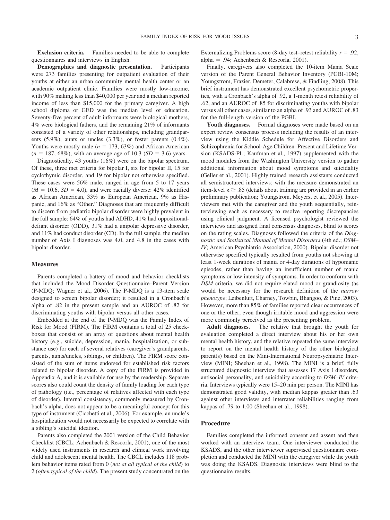**Exclusion criteria.** Families needed to be able to complete questionnaires and interviews in English.

**Demographics and diagnostic presentation.** Participants were 273 families presenting for outpatient evaluation of their youths at either an urban community mental health center or an academic outpatient clinic. Families were mostly low-income, with 90% making less than \$40,000 per year and a median reported income of less than \$15,000 for the primary caregiver. A high school diploma or GED was the median level of education. Seventy-five percent of adult informants were biological mothers, 4% were biological fathers, and the remaining 21% of informants consisted of a variety of other relationships, including grandparents (5.9%), aunts or uncles (3.3%), or foster parents (0.4%). Youths were mostly male ( $n = 173, 63\%$ ) and African American  $(n = 187, 68\%)$ , with an average age of 10.3 (*SD* = 3.6) years.

Diagnostically, 43 youths (16%) were on the bipolar spectrum. Of these, three met criteria for bipolar I, six for bipolar II, 15 for cyclothymic disorder, and 19 for bipolar not otherwise specified. These cases were 56% male, ranged in age from 5 to 17 years  $(M = 10.6, SD = 4.0)$ , and were racially diverse:  $42\%$  identified as African American, 33% as European American, 9% as Hispanic, and 16% as "Other." Diagnoses that are frequently difficult to discern from pediatric bipolar disorder were highly prevalent in the full sample: 64% of youths had ADHD, 41% had oppositionaldefiant disorder (ODD), 31% had a unipolar depressive disorder, and 11% had conduct disorder (CD). In the full sample, the median number of Axis I diagnoses was 4.0, and 4.8 in the cases with bipolar disorder.

#### **Measures**

Parents completed a battery of mood and behavior checklists that included the Mood Disorder Questionnaire–Parent Version (P-MDQ; Wagner et al., 2006). The P-MDQ is a 13-item scale designed to screen bipolar disorder; it resulted in a Cronbach's alpha of .82 in the present sample and an AUROC of .82 for discriminating youths with bipolar versus all other cases.

Embedded at the end of the P-MDQ was the Family Index of Risk for Mood (FIRM). The FIRM contains a total of 25 checkboxes that consist of an array of questions about mental health history (e.g., suicide, depression, mania, hospitalization, or substance use) for each of several relatives (caregiver's grandparents, parents, aunts/uncles, siblings, or children). The FIRM score consisted of the sum of items endorsed for established risk factors related to bipolar disorder. A copy of the FIRM is provided in Appendix A, and it is available for use by the readership. Separate scores also could count the density of family loading for each type of pathology (i.e., percentage of relatives affected with each type of disorder). Internal consistency, commonly measured by Cronbach's alpha, does not appear to be a meaningful concept for this type of instrument (Cicchetti et al., 2006). For example, an uncle's hospitalization would not necessarily be expected to correlate with a sibling's suicidal ideation.

Parents also completed the 2001 version of the Child Behavior Checklist (CBCL; Achenbach & Rescorla, 2001), one of the most widely used instruments in research and clinical work involving child and adolescent mental health. The CBCL includes 118 problem behavior items rated from 0 (*not at all typical of the child*) to 2 (*often typical of the child*). The present study concentrated on the

Externalizing Problems score (8-day test–retest reliability  $r = .92$ , alpha = .94; Achenbach & Rescorla, 2001).

Finally, caregivers also completed the 10-item Mania Scale version of the Parent General Behavior Inventory (PGBI-10M; Youngstrom, Frazier, Demeter, Calabrese, & Findling, 2008). This brief instrument has demonstrated excellent psychometric properties, with a Cronbach's alpha of .92, a 1-month retest reliability of .62, and an AUROC of .85 for discriminating youths with bipolar versus all other cases, similar to an alpha of .93 and AUROC of .83 for the full-length version of the PGBI.

Youth diagnoses. Formal diagnoses were made based on an expert review consensus process including the results of an interview using the Kiddie Schedule for Affective Disorders and Schizophrenia for School-Age Children–Present and Lifetime Version (KSADS-PL; Kaufman et al., 1997) supplemented with the mood modules from the Washington University version to gather additional information about mood symptoms and suicidality (Geller et al., 2001). Highly trained research assistants conducted all semistructured interviews; with the measure demonstrated an item-level  $\kappa \geq .85$  (details about training are provided in an earlier preliminary publication; Youngstrom, Meyers, et al., 2005). Interviewers met with the caregiver and the youth sequentially, reinterviewing each as necessary to resolve reporting discrepancies using clinical judgment. A licensed psychologist reviewed the interviews and assigned final consensus diagnoses, blind to scores on the rating scales. Diagnoses followed the criteria of the *Diagnostic and Statistical Manual of Mental Disorders* (4th ed.; *DSM– IV*; American Psychiatric Association, 2000). Bipolar disorder not otherwise specified typically resulted from youths not showing at least 1-week durations of mania or 4-day durations of hypomanic episodes, rather than having an insufficient number of manic symptoms or low intensity of symptoms. In order to conform with *DSM* criteria, we did not require elated mood or grandiosity (as would be necessary for the research definition of the *narrow phenotype*; Leibenluft, Charney, Towbin, Bhangoo, & Pine, 2003). However, more than 85% of families reported clear occurrences of one or the other, even though irritable mood and aggression were more commonly perceived as the presenting problem.

**Adult diagnoses.** The relative that brought the youth for evaluation completed a direct interview about his or her own mental health history, and the relative repeated the same interview to report on the mental health history of the other biological parent(s) based on the Mini-International Neuropsychiatric Interview (MINI; Sheehan et al., 1998). The MINI is a brief, fully structured diagnostic interview that assesses 17 Axis I disorders, antisocial personality, and suicidality according to *DSM–IV* criteria. Interviews typically were 15–20 min per person. The MINI has demonstrated good validity, with median kappas greater than .63 against other interviews and interrater reliabilities ranging from kappas of .79 to 1.00 (Sheehan et al., 1998).

## **Procedure**

Families completed the informed consent and assent and then worked with an interview team. One interviewer conducted the KSADS, and the other interviewer supervised questionnaire completion and conducted the MINI with the caregiver while the youth was doing the KSADS. Diagnostic interviews were blind to the questionnaire results.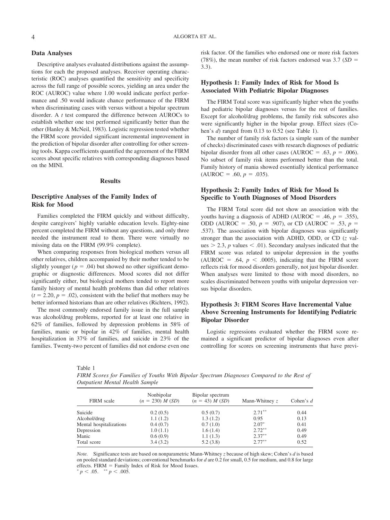# **Data Analyses**

Descriptive analyses evaluated distributions against the assumptions for each the proposed analyses. Receiver operating characteristic (ROC) analyses quantified the sensitivity and specificity across the full range of possible scores, yielding an area under the ROC (AUROC) value where 1.00 would indicate perfect performance and .50 would indicate chance performance of the FIRM when discriminating cases with versus without a bipolar spectrum disorder. A *t* test compared the difference between AUROCs to establish whether one test performed significantly better than the other (Hanley & McNeil, 1983). Logistic regression tested whether the FIRM score provided significant incremental improvement in the prediction of bipolar disorder after controlling for other screening tools. Kappa coefficients quantified the agreement of the FIRM scores about specific relatives with corresponding diagnoses based on the MINI.

#### **Results**

# **Descriptive Analyses of the Family Index of Risk for Mood**

Families completed the FIRM quickly and without difficulty, despite caregivers' highly variable education levels. Eighty-nine percent completed the FIRM without any questions, and only three needed the instrument read to them. There were virtually no missing data on the FIRM (99.9% complete).

When comparing responses from biological mothers versus all other relatives, children accompanied by their mother tended to be slightly younger ( $p = .04$ ) but showed no other significant demographic or diagnostic differences. Mood scores did not differ significantly either, but biological mothers tended to report more family history of mental health problems than did other relatives  $(t = 2.20, p = .02)$ , consistent with the belief that mothers may be better informed historians than are other relatives (Richters, 1992).

The most commonly endorsed family issue in the full sample was alcohol/drug problems, reported for at least one relative in 62% of families, followed by depression problems in 58% of families, manic or bipolar in 42% of families, mental health hospitalization in 37% of families, and suicide in 23% of the families. Twenty-two percent of families did not endorse even one risk factor. Of the families who endorsed one or more risk factors (78%), the mean number of risk factors endorsed was 3.7 (*SD* 3.3).

# **Hypothesis 1: Family Index of Risk for Mood Is Associated With Pediatric Bipolar Diagnoses**

The FIRM Total score was significantly higher when the youths had pediatric bipolar diagnoses versus for the rest of families. Except for alcohol/drug problems, the family risk subscores also were significantly higher in the bipolar group. Effect sizes (Cohen's *d*) ranged from 0.13 to 0.52 (see Table 1).

The number of family risk factors (a simple sum of the number of checks) discriminated cases with research diagnoses of pediatric bipolar disorder from all other cases (AUROC = .63,  $p = .006$ ). No subset of family risk items performed better than the total. Family history of mania showed essentially identical performance  $(AUROC = .60, p = .035).$ 

# **Hypothesis 2: Family Index of Risk for Mood Is Specific to Youth Diagnoses of Mood Disorders**

The FIRM Total score did not show an association with the youths having a diagnosis of ADHD (AUROC = .46,  $p = .355$ ), ODD (AUROC = .50,  $p = .907$ ), or CD (AUROC = .53,  $p =$ .537). The association with bipolar diagnoses was significantly stronger than the association with ADHD, ODD, or CD (*z* values  $> 2.3$ , *p* values  $< .01$ ). Secondary analyses indicated that the FIRM score was related to unipolar depression in the youths (AUROC = .64,  $p < .0005$ ), indicating that the FIRM score reflects risk for mood disorders generally, not just bipolar disorder. When analyses were limited to those with mood disorders, no scales discriminated between youths with unipolar depression versus bipolar disorders.

# **Hypothesis 3: FIRM Scores Have Incremental Value Above Screening Instruments for Identifying Pediatric Bipolar Disorder**

Logistic regressions evaluated whether the FIRM score remained a significant predictor of bipolar diagnoses even after controlling for scores on screening instruments that have previ-

Table 1

*FIRM Scores for Families of Youths With Bipolar Spectrum Diagnoses Compared to the Rest of Outpatient Mental Health Sample*

| FIRM scale              | Nonbipolar<br>$(n = 230) M(SD)$ | Bipolar spectrum<br>$(n = 43) M(SD)$ | Mann-Whitney $z$ | Cohen's $d$ |
|-------------------------|---------------------------------|--------------------------------------|------------------|-------------|
| Suicide                 | 0.2(0.5)                        | 0.5(0.7)                             | $2.71***$        | 0.44        |
| Alcohol/drug            | 1.1(1.2)                        | 1.3(1.2)                             | 0.95             | 0.13        |
| Mental hospitalizations | 0.4(0.7)                        | 0.7(1.0)                             | $2.07*$          | 0.41        |
| Depression              | 1.0(1.1)                        | 1.6(1.4)                             | $2.72***$        | 0.49        |
| Manic                   | 0.6(0.9)                        | 1.1(1.3)                             | $2.37***$        | 0.49        |
| Total score             | 3.4(3.2)                        | 5.2(3.8)                             | $2.77***$        | 0.52        |

*Note.* Significance tests are based on nonparametric Mann-Whitney *z* because of high skew; Cohen's *d* is based on pooled standard deviations; conventional benchmarks for *d* are 0.2 for small, 0.5 for medium, and 0.8 for large effects. FIRM = Family Index of Risk for Mood Issues.  $p < .05$ .  $p < .005$ .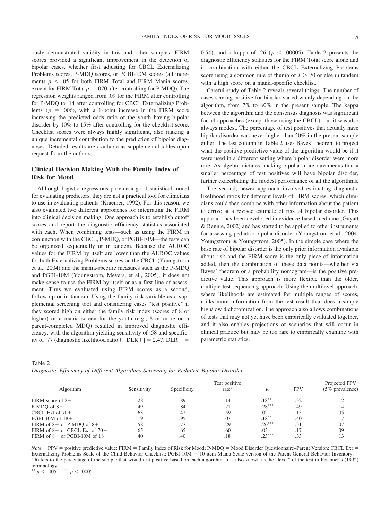ously demonstrated validity in this and other samples. FIRM scores provided a significant improvement in the detection of bipolar cases, whether first adjusting for CBCL Externalizing Problems scores, P-MDQ scores, or PGBI-10M scores (all increments  $p < .05$  for both FIRM Total and FIRM Mania scores, except for FIRM Total  $p = .070$  after controlling for P-MDQ). The regression weights ranged from .09 for the FIRM after controlling for P-MDQ to .14 after controlling for CBCL Externalizing Problems  $(p = .006)$ , with a 1-point increase in the FIRM score increasing the predicted odds ratio of the youth having bipolar disorder by 10% to 15% after controlling for the checklist score. Checklist scores were always highly significant, also making a unique incremental contribution to the prediction of bipolar diagnoses. Detailed results are available as supplemental tables upon request from the authors.

# **Clinical Decision Making With the Family Index of Risk for Mood**

Although logistic regressions provide a good statistical model for evaluating predictors, they are not a practical tool for clinicians to use in evaluating patients (Kraemer, 1992). For this reason, we also evaluated two different approaches for integrating the FIRM into clinical decision making. One approach is to establish cutoff scores and report the diagnostic efficiency statistics associated with each. When combining tests—such as using the FIRM in conjunction with the CBCL, P-MDQ, or PGBI-10M—the tests can be organized sequentially or in tandem. Because the AUROC values for the FIRM by itself are lower than the AUROC values for both Externalizing Problems scores on the CBCL (Youngstrom et al., 2004) and the mania-specific measures such as the P-MDQ and PGBI-10M (Youngstrom, Meyers, et al., 2005), it does not make sense to use the FIRM by itself or as a first line of assessment. Thus we evaluated using FIRM scores as a second, follow-up or in tandem. Using the family risk variable as a supplemental screening tool and considering cases "test positive" if they scored high on either the family risk index (scores of 8 or higher) or a mania screen for the youth (e.g., 8 or more on a parent-completed MDQ) resulted in improved diagnostic efficiency, with the algorithm yielding sensitivity of .58 and specificity of .77 (diagnostic likelihood ratio + [DLR + ] = 2.47, DLR  $-$  =

0.54), and a kappa of .26 ( $p < .00005$ ). Table 2 presents the diagnostic efficiency statistics for the FIRM Total score alone and in combination with either the CBCL Externalizing Problems score using a common rule of thumb of  $T > 70$  or else in tandem with a high score on a mania-specific checklist.

Careful study of Table 2 reveals several things. The number of cases scoring positive for bipolar varied widely depending on the algorithm, from 7% to 60% in the present sample. The kappa between the algorithm and the consensus diagnosis was significant for all approaches (except those using the CBCL), but it was also always modest. The percentage of test positives that actually have bipolar disorder was never higher than 50% in the present sample either. The last column in Table 2 uses Bayes' theorem to project what the positive predictive value of the algorithm would be if it were used in a different setting where bipolar disorder were more rare. As algebra dictates, making bipolar more rare means that a smaller percentage of test positives will have bipolar disorder, further exacerbating the modest performance of all the algorithms.

The second, newer approach involved estimating diagnostic likelihood ratios for different levels of FIRM scores, which clinicians could then combine with other information about the patient to arrive at a revised estimate of risk of bipolar disorder. This approach has been developed in evidence-based medicine (Guyatt & Rennie, 2002) and has started to be applied to other instruments for assessing pediatric bipolar disorder (Youngstrom et al., 2004; Youngstrom & Youngstrom, 2005). In the simple case where the base rate of bipolar disorder is the only prior information available about risk and the FIRM score is the only piece of information added, then the combination of these data points—whether via Bayes' theorem or a probability nomogram—is the positive predictive value. This approach is more flexible than the older, multiple-test sequencing approach. Using the multilevel approach, where likelihoods are estimated for multiple ranges of scores, milks more information from the test result than does a simple high/low dichotomization. The approach also allows combinations of tests that may not yet have been empirically evaluated together, and it also enables projections of scenarios that will occur in clinical practice but may be too rare to empirically examine with parametric statistics.

| Table 2 |  |  |                                                                                        |  |
|---------|--|--|----------------------------------------------------------------------------------------|--|
|         |  |  | Diagnostic Efficiency of Different Algorithms Screening for Pediatric Bipolar Disorder |  |

| Algorithm                         | Sensitivity | Specificity | Test positive<br>rate <sup>a</sup> | к        | <b>PPV</b> | Projected PPV<br>$(5\%$ prevalence) |
|-----------------------------------|-------------|-------------|------------------------------------|----------|------------|-------------------------------------|
| FIRM score of $8+$                | .28         | .89         | .14                                | $.18***$ | .32        | .12                                 |
| P-MDO of $8+$                     | .49         | .84         | .21                                | $.28***$ | .49        | .14                                 |
| CBCL Ext of $70+$                 | .63         | .42         | .59                                | .02      | .15        | .05                                 |
| PGBI-10M of $18+$                 | .19         | .95         | .07                                | $.18***$ | .40        | .17                                 |
| FIRM of $8+$ or P-MDQ of $8+$     | .58         | .77         | .29                                | $.26***$ | .31        | .07                                 |
| FIRM of $8+$ or CBCL Ext of $70+$ | .65         | .65         | .60                                | .03      | .17        | .09                                 |
| FIRM of $8+$ or PGBI-10M of $18+$ | .40         | .40         | .18                                | $.23***$ | .33        | .13                                 |

*Note.* PPV = positive predictive value; FIRM = Family Index of Risk for Mood; P-MDQ = Mood Disorder Questionnaire–Parent Version; CBCL Ext = Externalizing Problems Scale of the Child Behavior Checklist; PGBI-10M = 10-ite <sup>a</sup> Refers to the percentage of the sample that would test positive based on each algorithm. It is also known as the "level" of the test in Kraemer's (1992) terminology.

 $p < .005$ .  $p < .0005$ .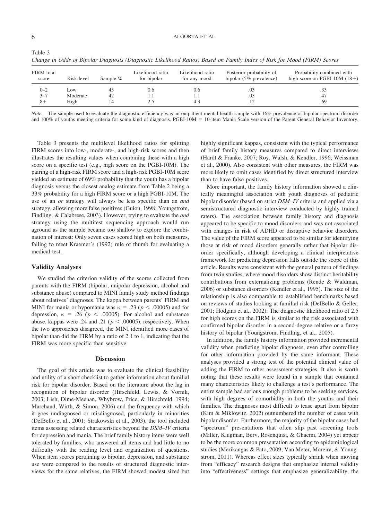Table 3

| Change in Outis of Dipolar Duignosis (Diagnosia: Liketinood Ranos) Dusca on I aminy Inack of Risk for mood (I Hun) Scores |            |            |                                 |                                  |                                                        |                                                             |  |  |
|---------------------------------------------------------------------------------------------------------------------------|------------|------------|---------------------------------|----------------------------------|--------------------------------------------------------|-------------------------------------------------------------|--|--|
| FIRM total<br>score                                                                                                       | Risk level | Sample $%$ | Likelihood ratio<br>for bipolar | Likelihood ratio<br>for any mood | Posterior probability of<br>bipolar $(5\%$ prevalence) | Probability combined with<br>high score on PGBI-10M $(18+)$ |  |  |
| $0 - 2$                                                                                                                   | Low        | 45         | 0.6                             | 0.6                              | .03                                                    | .33                                                         |  |  |
| $3 - 7$                                                                                                                   | Moderate   | 42         |                                 |                                  | .05                                                    | .47                                                         |  |  |
| 8+                                                                                                                        | High       |            |                                 |                                  | .12                                                    | .69                                                         |  |  |

*Change in Odds of Bipolar Diagnosis (Diagnostic Likelihood Ratios) Based on Family Index of Risk for Mood (FIRM) Scores*

*Note.* The sample used to evaluate the diagnostic efficiency was an outpatient mental health sample with 16% prevalence of bipolar spectrum disorder and 100% of youths meeting criteria for some kind of diagnosis. PGBI-10M = 10-item Mania Scale version of the Parent General Behavior Inventory.

Table 3 presents the multilevel likelihood ratios for splitting FIRM scores into low-, moderate-, and high-risk scores and then illustrates the resulting values when combining these with a high score on a specific test (e.g., high score on the PGBI-10M). The pairing of a high-risk FIRM score and a high-risk PGBI-10M score yielded an estimate of 69% probability that the youth has a bipolar diagnosis versus the closest analog estimate from Table 2 being a 33% probability for a high FIRM score or a high PGBI-10M. The use of an *or* strategy will always be less specific than an *and* strategy, allowing more false positives (Guion, 1998; Youngstrom, Findling, & Calabrese, 2003). However, trying to evaluate the *and* strategy using the multitest sequencing approach would run aground as the sample became too shallow to explore the combination of interest: Only seven cases scored high on both measures, failing to meet Kraemer's (1992) rule of thumb for evaluating a medical test.

# **Validity Analyses**

We studied the criterion validity of the scores collected from parents with the FIRM (bipolar, unipolar depression, alcohol and substance abuse) compared to MINI family study method findings about relatives' diagnoses. The kappa between parents' FIRM and MINI for mania or hypomania was  $\kappa = .23$  ( $p < .00005$ ) and for depression,  $\kappa = .26$  ( $p < .00005$ ). For alcohol and substance abuse, kappas were .24 and .21 ( $p < .00005$ ), respectively. When the two approaches disagreed, the MINI identified more cases of bipolar than did the FIRM by a ratio of 2.1 to 1, indicating that the FIRM was more specific than sensitive.

#### **Discussion**

The goal of this article was to evaluate the clinical feasibility and utility of a short checklist to gather information about familial risk for bipolar disorder. Based on the literature about the lag in recognition of bipolar disorder (Hirschfeld, Lewis, & Vornik, 2003; Lish, Dime-Meenan, Whybrow, Price, & Hirschfeld, 1994; Marchand, Wirth, & Simon, 2006) and the frequency with which it goes undiagnosed or misdiagnosed, particularly in minorities (DelBello et al., 2001; Strakowski et al., 2003), the tool included items assessing related characteristics beyond the *DSM–IV* criteria for depression and mania. The brief family history items were well tolerated by families, who answered all items and had little to no difficulty with the reading level and organization of questions. When item scores pertaining to bipolar, depression, and substance use were compared to the results of structured diagnostic interviews for the same relatives, the FIRM showed modest sized but highly significant kappas, consistent with the typical performance of brief family history measures compared to direct interviews (Hardt & Franke, 2007; Roy, Walsh, & Kendler, 1996; Weissman et al., 2000). Also consistent with other measures, the FIRM was more likely to omit cases identified by direct structured interview than to have false positives.

More important, the family history information showed a clinically meaningful association with youth diagnoses of pediatric bipolar disorder (based on strict *DSM–IV* criteria and applied via a semistructured diagnostic interview conducted by highly trained raters). The association between family history and diagnosis appeared to be specific to mood disorders and was not associated with changes in risk of ADHD or disruptive behavior disorders. The value of the FIRM score appeared to be similar for identifying those at risk of mood disorders generally rather that bipolar disorder specifically, although developing a clinical interpretative framework for predicting depression falls outside the scope of this article. Results were consistent with the general pattern of findings from twin studies, where mood disorders show distinct heritability contributions from externalizing problems (Rende & Waldman, 2006) or substance disorders (Kendler et al., 1995). The size of the relationship is also comparable to established benchmarks based on reviews of studies looking at familial risk (DelBello & Geller, 2001; Hodgins et al., 2002): The diagnostic likelihood ratio of 2.5 for high scores on the FIRM is similar to the risk associated with confirmed bipolar disorder in a second-degree relative or a fuzzy history of bipolar (Youngstrom, Findling, et al., 2005).

In addition, the family history information provided incremental validity when predicting bipolar diagnoses, even after controlling for other information provided by the same informant. These analyses provided a strong test of the potential clinical value of adding the FIRM to other assessment strategies. It also is worth noting that these results were found in a sample that contained many characteristics likely to challenge a test's performance. The entire sample had serious enough problems to be seeking services, with high degrees of comorbidity in both the youths and their families. The diagnoses most difficult to tease apart from bipolar (Kim & Miklowitz, 2002) outnumbered the number of cases with bipolar disorder. Furthermore, the majority of the bipolar cases had "spectrum" presentations that often slip past screening tools (Miller, Klugman, Berv, Rosenquist, & Ghaemi, 2004) yet appear to be the more common presentation according to epidemiological studies (Merikangas & Pato, 2009; Van Meter, Moreira, & Youngstrom, 2011). Whereas effect sizes typically shrink when moving from "efficacy" research designs that emphasize internal validity into "effectiveness" settings that emphasize generalizability, the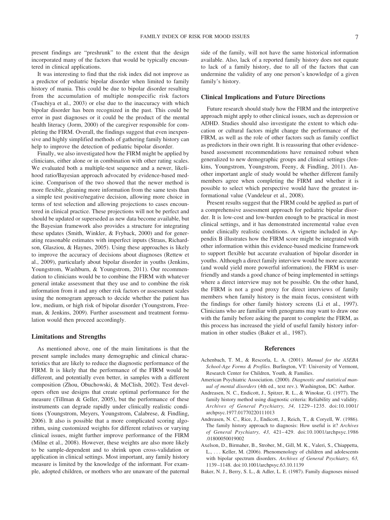present findings are "preshrunk" to the extent that the design incorporated many of the factors that would be typically encountered in clinical applications.

It was interesting to find that the risk index did not improve as a predictor of pediatric bipolar disorder when limited to family history of mania. This could be due to bipolar disorder resulting from the accumulation of multiple nonspecific risk factors (Tsuchiya et al., 2003) or else due to the inaccuracy with which bipolar disorder has been recognized in the past. This could be error in past diagnoses or it could be the product of the mental health literacy (Jorm, 2000) of the caregiver responsible for completing the FIRM. Overall, the findings suggest that even inexpensive and highly simplified methods of gathering family history can help to improve the detection of pediatric bipolar disorder.

Finally, we also investigated how the FIRM might be applied by clinicians, either alone or in combination with other rating scales. We evaluated both a multiple-test sequence and a newer, likelihood ratio/Bayesian approach advocated by evidence-based medicine. Comparison of the two showed that the newer method is more flexible, gleaning more information from the same tests than a simple test positive/negative decision, allowing more choice in terms of test selection and allowing projections to cases encountered in clinical practice. These projections will not be perfect and should be updated or superseded as new data become available, but the Bayesian framework also provides a structure for integrating these updates (Smith, Winkler, & Fryback, 2000) and for generating reasonable estimates with imperfect inputs (Straus, Richardson, Glasziou, & Haynes, 2005). Using these approaches is likely to improve the accuracy of decisions about diagnoses (Rettew et al., 2009), particularly about bipolar disorder in youths (Jenkins, Youngstrom, Washburn, & Youngstrom, 2011). Our recommendation to clinicians would be to combine the FIRM with whatever general intake assessment that they use and to combine the risk information from it and any other risk factors or assessment scales using the nomogram approach to decide whether the patient has low, medium, or high risk of bipolar disorder (Youngstrom, Freeman, & Jenkins, 2009). Further assessment and treatment formulation would then proceed accordingly.

#### **Limitations and Strengths**

As mentioned above, one of the main limitations is that the present sample includes many demographic and clinical characteristics that are likely to reduce the diagnostic performance of the FIRM. It is likely that the performance of the FIRM would be different, and potentially even better, in samples with a different composition (Zhou, Obuchowski, & McClish, 2002). Test developers often use designs that create optimal performance for the measure (Tillman & Geller, 2005), but the performance of these instruments can degrade rapidly under clinically realistic conditions (Youngstrom, Meyers, Youngstrom, Calabrese, & Findling, 2006). It also is possible that a more complicated scoring algorithm, using customized weights for different relatives or varying clinical issues, might further improve performance of the FIRM (Milne et al., 2008). However, these weights are also more likely to be sample-dependent and to shrink upon cross-validation or application in clinical settings. Most important, any family history measure is limited by the knowledge of the informant. For example, adopted children, or mothers who are unaware of the paternal side of the family, will not have the same historical information available. Also, lack of a reported family history does not equate to lack of a family history, due to all of the factors that can undermine the validity of any one person's knowledge of a given family's history.

## **Clinical Implications and Future Directions**

Future research should study how the FIRM and the interpretive approach might apply to other clinical issues, such as depression or ADHD. Studies should also investigate the extent to which education or cultural factors might change the performance of the FIRM, as well as the role of other factors such as family conflict as predictors in their own right. It is reassuring that other evidencebased assessment recommendations have remained robust when generalized to new demographic groups and clinical settings (Jenkins, Youngstrom, Youngstrom, Feeny, & Findling, 2011). Another important angle of study would be whether different family members agree when completing the FIRM and whether it is possible to select which perspective would have the greatest informational value (Vandeleur et al., 2008).

Present results suggest that the FIRM could be applied as part of a comprehensive assessment approach for pediatric bipolar disorder. It is low-cost and low-burden enough to be practical in most clinical settings, and it has demonstrated incremental value even under clinically realistic conditions. A vignette included in Appendix B illustrates how the FIRM score might be integrated with other information within this evidence-based medicine framework to support flexible but accurate evaluation of bipolar disorder in youths. Although a direct family interview would be more accurate (and would yield more powerful information), the FIRM is userfriendly and stands a good chance of being implemented in settings where a direct interview may not be possible. On the other hand, the FIRM is not a good proxy for direct interviews of family members when family history is the main focus, consistent with the findings for other family history screens (Li et al., 1997). Clinicians who are familiar with genograms may want to draw one with the family before asking the parent to complete the FIRM, as this process has increased the yield of useful family history information in other studies (Baker et al., 1987).

#### **References**

- Achenbach, T. M., & Rescorla, L. A. (2001). *Manual for the ASEBA School-Age Forms & Profiles.* Burlington, VT: University of Vermont, Research Center for Children, Youth, & Families.
- American Psychiatric Association. (2000). *Diagnostic and statistical manual of mental disorders* (4th ed., text rev.). Washington, DC: Author.
- Andreasen, N. C., Endicott, J., Spitzer, R. L., & Winokur, G. (1977). The family history method using diagnostic criteria: Reliability and validity. *Archives of General Psychiatry, 34,* 1229 –1235. doi:10.1001/ archpsyc.1977.01770220111013
- Andreasen, N. C., Rice, J., Endicott, J., Reich, T., & Coryell, W. (1986). The family history approach to diagnosis: How useful is it? *Archives of General Psychiatry, 43,* 421– 429. doi:10.1001/archpsyc.1986 .01800050019002
- Axelson, D., Birmaher, B., Strober, M., Gill, M. K., Valeri, S., Chiappetta, L., . . . Keller, M. (2006). Phenomenology of children and adolescents with bipolar spectrum disorders. *Archives of General Psychiatry, 63,* 1139 –1148. doi:10.1001/archpsyc.63.10.1139
- Baker, N. J., Berry, S. L., & Adler, L. E. (1987). Family diagnoses missed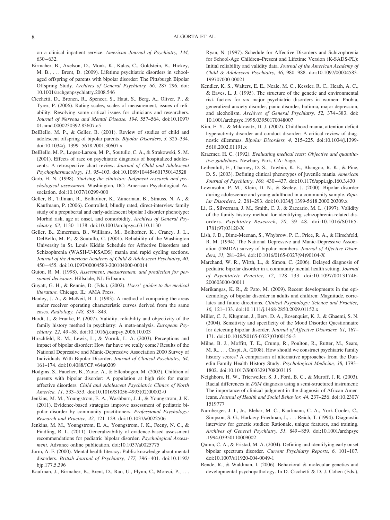on a clinical inpatient service. *American Journal of Psychiatry, 144,*  $630 - 632.$ 

- Birmaher, B., Axelson, D., Monk, K., Kalas, C., Goldstein, B., Hickey, M. B., . . . Brent, D. (2009). Lifetime psychiatric disorders in schoolaged offspring of parents with bipolar disorder: The Pittsburgh Bipolar Offspring Study. *Archives of General Psychiatry, 66,* 287–296. doi: 10.1001/archgenpsychiatry.2008.546
- Cicchetti, D., Bronen, R., Spencer, S., Haut, S., Berg, A., Oliver, P., & Tyrer, P. (2006). Rating scales, scales of measurement, issues of reliability: Resolving some critical issues for clinicians and researchers. *Journal of Nervous and Mental Disease, 194,* 557–564. doi:10.1097/ 01.nmd.0000230392.83607.c5
- DelBello, M. P., & Geller, B. (2001). Review of studies of child and adolescent offspring of bipolar parents. *Bipolar Disorders, 3,* 325–334. doi:10.1034/j. 1399 –5618.2001.30607.x
- DelBello, M. P., Lopez-Larson, M. P., Soutullo, C. A., & Strakowski, S. M. (2001). Effects of race on psychiatric diagnosis of hospitalized adolescents: A retrospective chart review. *Journal of Child and Adolescent Psychopharmacology, 11,* 95–103. doi:10.1089/104454601750143528
- Garb, H. N. (1998). *Studying the clinician: Judgment research and psychological assessment.* Washington, DC: American Psychological Association. doi:10.1037/10299-000
- Geller, B., Tillman, R., Bolhofner, K., Zimerman, B., Strauss, N. A., & Kaufmann, P. (2006). Controlled, blindly rated, direct-interview family study of a prepubertal and early-adolescent bipolar I disorder phenotype: Morbid risk, age at onset, and comorbidity. *Archives of General Psychiatry, 63,* 1130 –1138. doi:10.1001/archpsyc.63.10.1130
- Geller, B., Zimerman, B., Williams, M., Bolhofner, K., Craney, J. L., DelBello, M. P., & Soutullo, C. (2001). Reliability of the Washington University in St. Louis Kiddie Schedule for Affective Disorders and Schizophrenia (WASH-U-KSADS) mania and rapid cycling sections. *Journal of the American Academy of Child & Adolescent Psychiatry, 40,* 450 – 455. doi:10.1097/00004583-200104000-00014
- Guion, R. M. (1998). *Assessment, measurement, and prediction for personnel decisions.* Hillsdale, NJ: Erlbaum.
- Guyatt, G. H., & Rennie, D. (Eds.). (2002). *Users' guides to the medical literature.* Chicago, IL: AMA Press.
- Hanley, J. A., & McNeil, B. J. (1983). A method of comparing the areas under receiver operating characteristic curves derived from the same cases. *Radiology, 148,* 839 – 843.
- Hardt, J., & Franke, P. (2007). Validity, reliability and objectivity of the family history method in psychiatry: A meta-analysis. *European Psychiatry, 22,* 49 –58. doi:10.1016/j.eurpsy.2006.10.003
- Hirschfeld, R. M., Lewis, L., & Vornik, L. A. (2003). Perceptions and impact of bipolar disorder: How far have we really come? Results of the National Depressive and Manic-Depressive Association 2000 Survey of Individuals With Bipolar Disorder. *Journal of Clinical Psychiatry, 64,* 161–174. doi:10.4088/JCP.v64n0209
- Hodgins, S., Faucher, B., Zarac, A., & Ellenbogen, M. (2002). Children of parents with bipolar disorder: A population at high risk for major affective disorders. *Child and Adolescent Psychiatric Clinics of North America, 11,* 533–553. doi:10.1016/S1056-4993(02)00002-0
- Jenkins, M. M., Youngstrom, E. A., Washburn, J. J., & Youngstrom, J. K. (2011). Evidence-based strategies improve assessment of pediatric bipolar disorder by community practitioners. *Professional Psychology: Research and Practice, 42,* 121–129. doi:10.1037/a0022506
- Jenkins, M. M., Youngstrom, E. A., Youngstrom, J. K., Feeny, N. C., & Findling, R. L. (2011). Generalizability of evidence-based assessment recommendations for pediatric bipolar disorder. *Psychological Assessment*. Advance online publication. doi:10.1037/a0025775
- Jorm, A. F. (2000). Mental health literacy: Public knowledge about mental disorders. *British Journal of Psychiatry, 177,* 396 – 401. doi:10.1192/ bjp.177.5.396
- Kaufman, J., Birmaher, B., Brent, D., Rao, U., Flynn, C., Moreci, P., ...

Ryan, N. (1997). Schedule for Affective Disorders and Schizophrenia for School-Age Children–Present and Lifetime Version (K-SADS-PL): Initial reliability and validity data. *Journal of the American Academy of Child & Adolescent Psychiatry, 36,* 980 –988. doi:10.1097/00004583- 199707000-00021

- Kendler, K. S., Walters, E. E., Neale, M. C., Kessler, R. C., Heath, A. C., & Eaves, L. J. (1995). The structure of the genetic and environmental risk factors for six major psychiatric disorders in women: Phobia, generalized anxiety disorder, panic disorder, bulimia, major depression, and alcoholism. *Archives of General Psychiatry, 52,* 374 –383. doi: 10.1001/archpsyc.1995.03950170048007
- Kim, E. Y., & Miklowitz, D. J. (2002). Childhood mania, attention deficit hyperactivity disorder and conduct disorder: A critical review of diagnostic dilemmas. *Bipolar Disorders, 4,* 215–225. doi:10.1034/j.1399- 5618.2002.01191.x
- Kraemer, H. C. (1992). *Evaluating medical tests: Objective and quantitative guidelines.* Newbury Park, CA: Sage.
- Leibenluft, E., Charney, D. S., Towbin, K. E., Bhangoo, R. K., & Pine, D. S. (2003). Defining clinical phenotypes of juvenile mania. *American Journal of Psychiatry, 160,* 430 – 437. doi:10.1176/appi.ajp.160.3.430
- Lewinsohn, P. M., Klein, D. N., & Seeley, J. (2000). Bipolar disorder during adolescence and young adulthood in a community sample. *Bipolar Disorders, 2,* 281–293. doi:10.1034/j.1399-5618.2000.20309.x
- Li, G., Silverman, J. M., Smith, C. J., & Zaccario, M. L. (1997). Validity of the family history method for identifying schizophrenia-related disorders. *Psychiatry Research, 70,* 39 – 48. doi:10.1016/S0165- 1781(97)03120-X
- Lish, J. D., Dime-Meenan, S., Whybrow, P. C., Price, R. A., & Hirschfeld, R. M. (1994). The National Depressive and Manic-Depressive Association (DMDA) survey of bipolar members. *Journal of Affective Disorders, 31,* 281–294. doi:10.1016/0165-0327(94)90104-X
- Marchand, W. R., Wirth, L., & Simon, C. (2006). Delayed diagnosis of pediatric bipolar disorder in a community mental health setting. *Journal of Psychiatric Practice, 12,* 128 –133. doi:10.1097/00131746- 200603000-00011
- Merikangas, K. R., & Pato, M. (2009). Recent developments in the epidemiology of bipolar disorder in adults and children: Magnitude, correlates and future directions. *Clinical Psychology: Science and Practice, 16,* 121–133. doi:10.1111/j.1468-2850.2009.01152.x
- Miller, C. J., Klugman, J., Berv, D. A., Rosenquist, K. J., & Ghaemi, S. N. (2004). Sensitivity and specificity of the Mood Disorder Questionnaire for detecting bipolar disorder. *Journal of Affective Disorders, 81,* 167– 171. doi:10.1016/S0165-0327(03)00156-3
- Milne, B. J., Moffitt, T. E., Crump, R., Poulton, R., Rutter, M., Sears, M. R., . . . Caspi, A. (2008). How should we construct psychiatric family history scores? A comparison of alternative approaches from the Dunedin Family Health History Study. *Psychological Medicine, 38,* 1793– 1802. doi:10.1017/S0033291708003115
- Neighbors, H. W., Trierweiler, S. J., Ford, B. C., & Muroff, J. R. (2003). Racial differences in *DSM* diagnosis using a semi-structured instrument: The importance of clinical judgment in the diagnosis of African Americans. *Journal of Health and Social Behavior, 44,* 237–256. doi:10.2307/ 1519777
- Nurnberger, J. I., Jr., Blehar, M. C., Kaufmann, C. A., York-Cooler, C., Simpson, S. G., Harkavy-Friedman, J., . . . Reich, T. (1994). Diagnostic interview for genetic studies: Rationale, unique features, and training. *Archives of General Psychiatry, 51,* 849 – 859. doi:10.1001/archpsyc .1994.03950110009002
- Quinn, C. A., & Fristad, M. A. (2004). Defining and identifying early onset bipolar spectrum disorder. *Current Psychiatry Reports, 6,* 101–107. doi:10.1007/s11920-004-0049-1
- Rende, R., & Waldman, I. (2006). Behavioral & molecular genetics and developmental psychopathology. In D. Cicchetti & D. J. Cohen (Eds.),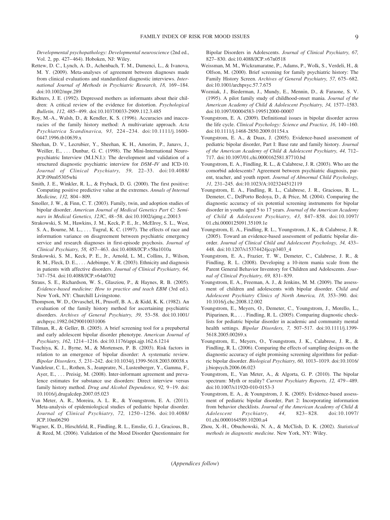*Developmental psychopathology: Developmental neuroscience* (2nd ed., Vol. 2, pp. 427– 464). Hoboken, NJ: Wiley.

- Rettew, D. C., Lynch, A. D., Achenbach, T. M., Dumenci, L., & Ivanova, M. Y. (2009). Meta-analyses of agreement between diagnoses made from clinical evaluations and standardized diagnostic interviews. *International Journal of Methods in Psychiatric Research, 18,* 169 –184. doi:10.1002/mpr.289
- Richters, J. E. (1992). Depressed mothers as informants about their children: A critical review of the evidence for distortion. *Psychological Bulletin, 112,* 485– 499. doi:10.1037/0033-2909.112.3.485
- Roy, M.-A., Walsh, D., & Kendler, K. S. (1996). Accuracies and inaccuracies of the family history method: A multivariate approach. *Acta Psychiatrica Scandinavica, 93,* 224 –234. doi:10.1111/j.1600- 0447.1996.tb10639.x
- Sheehan, D. V., Lecrubier, Y., Sheehan, K. H., Amorim, P., Janavs, J., Weiller, E., ... Dunbar, G. C. (1998). The Mini-International Neuropsychiatric Interview (M.I.N.I.): The development and validation of a structured diagnostic psychiatric interview for *DSM–IV* and ICD-10. *Journal of Clinical Psychiatry, 59,* 22–33. doi:10.4088/ JCP.09m05305whi
- Smith, J. E., Winkler, R. L., & Fryback, D. G. (2000). The first positive: Computing positive predictive value at the extremes. *Annals of Internal Medicine, 132,* 804 – 809.
- Smoller, J. W., & Finn, C. T. (2003). Family, twin, and adoption studies of bipolar disorder. *American Journal of Medical Genetics Part C: Seminars in Medical Genetics, 123*C, 48 –58. doi:10.1002/ajmg.c.20013
- Strakowski, S. M., Hawkins, J. M., Keck, P. E., Jr., McElroy, S. L., West, S. A., Bourne, M. L., . . . Tugrul, K. C. (1997). The effects of race and information variance on disagreement between psychiatric emergency service and research diagnoses in first-episode psychosis. *Journal of Clinical Psychiatry, 58,* 457– 463. doi:10.4088/JCP.v58n1010a
- Strakowski, S. M., Keck, P. E., Jr., Arnold, L. M., Collins, J., Wilson, R. M., Fleck, D. E., . . . Adebimpe, V. R. (2003). Ethnicity and diagnosis in patients with affective disorders. *Journal of Clinical Psychiatry, 64,* 747–754. doi:10.4088/JCP.v64n0702
- Straus, S. E., Richardson, W. S., Glasziou, P., & Haynes, R. B. (2005). *Evidence-based medicine: How to practice and teach EBM* (3rd ed.). New York, NY: Churchill Livingstone.
- Thompson, W. D., Orvaschel, H., Prusoff, B. A., & Kidd, K. K. (1982). An evaluation of the family history method for ascertaining psychiatric disorders. *Archives of General Psychiatry, 39,* 53–58. doi:10.1001/ archpsyc.1982.04290010031006
- Tillman, R., & Geller, B. (2005). A brief screening tool for a prepubertal and early adolescent bipolar disorder phenotype. *American Journal of Psychiatry, 162,* 1214 –1216. doi:10.1176/appi.ajp.162.6.1214
- Tsuchiya, K. J., Byrne, M., & Mortensen, P. B. (2003). Risk factors in relation to an emergence of bipolar disorder: A systematic review. *Bipolar Disorders, 5,* 231–242. doi:10.1034/j.1399-5618.2003.00038.x
- Vandeleur, C. L., Rothen, S., Jeanpratre, N., Lustenberger, Y., Gamma, F., Ayer, E., ... Preisig, M. (2008). Inter-informant agreement and prevalence estimates for substance use disorders: Direct interview versus family history method. *Drug and Alcohol Dependence*, 92, 9-19. doi: 10.1016/j.drugalcdep.2007.05.023
- Van Meter, A. R., Moreira, A. L. R., & Youngstrom, E. A. (2011). Meta-analysis of epidemiological studies of pediatric bipolar disorder. *Journal of Clinical Psychiatry, 72,* 1250 –1256. doi:10.4088/ JCP.10m06290
- Wagner, K. D., Hirschfeld, R., Findling, R. L., Emslie, G. J., Gracious, B., & Reed, M. (2006). Validation of the Mood Disorder Questionnaire for

Bipolar Disorders in Adolescents. *Journal of Clinical Psychiatry, 67,* 827– 830. doi:10.4088/JCP.v67n0518

- Weissman, M. M., Wickramaratne, P., Adams, P., Wolk, S., Verdeli, H., & Olfson, M. (2000). Brief screening for family psychiatric history: The Family History Screen. *Archives of General Psychiatry, 57, 675*-682. doi:10.1001/archpsyc.57.7.675
- Wozniak, J., Biederman, J., Mundy, E., Mennin, D., & Faraone, S. V. (1995). A pilot family study of childhood-onset mania. *Journal of the American Academy of Child & Adolescent Psychiatry, 34,* 1577–1583. doi:10.1097/00004583-199512000-00007
- Youngstrom, E. A. (2009). Definitional issues in bipolar disorder across the life cycle. *Clinical Psychology: Science and Practice, 16,* 140 –160. doi:10.1111/j.1468-2850.2009.01154.x
- Youngstrom, E. A., & Duax, J. (2005). Evidence-based assessment of pediatric bipolar disorder, Part I: Base rate and family history. *Journal of the American Academy of Child & Adolescent Psychiatry, 44,* 712– 717. doi:10.1097/01.chi.0000162581.87710.bd
- Youngstrom, E. A., Findling, R. L., & Calabrese, J. R. (2003). Who are the comorbid adolescents? Agreement between psychiatric diagnosis, parent, teacher, and youth report. *Journal of Abnormal Child Psychology, 31,* 231–245. doi:10.1023/A:1023244512119
- Youngstrom, E. A., Findling, R. L., Calabrese, J. R., Gracious, B. L., Demeter, C., DelPorto Bedoya, D., & Price, M. (2004). Comparing the diagnostic accuracy of six potential screening instruments for bipolar disorder in youths aged 5 to 17 years. *Journal of the American Academy of Child & Adolescent Psychiatry, 43,* 847– 858. doi:10.1097/ 01.chi.0000125091.35109.1e
- Youngstrom, E. A., Findling, R. L., Youngstrom, J. K., & Calabrese, J. R. (2005). Toward an evidence-based assessment of pediatric bipolar disorder. *Journal of Clinical Child and Adolescent Psychology, 34,* 433– 448. doi:10.1207/s15374424jccp3403\_4
- Youngstrom, E. A., Frazier, T. W., Demeter, C., Calabrese, J. R., & Findling, R. L. (2008). Developing a 10-item mania scale from the Parent General Behavior Inventory for Children and Adolescents. *Journal of Clinical Psychiatry, 69,* 831– 839.
- Youngstrom, E. A., Freeman, A. J., & Jenkins, M. M. (2009). The assessment of children and adolescents with bipolar disorder. *Child and Adolescent Psychiatry Clinics of North America, 18,* 353–390. doi: 10.1016/j.chc.2008.12.002
- Youngstrom, E., Meyers, O., Demeter, C., Youngstrom, J., Morello, L., Piiparinen, R., . . . Findling, R. L. (2005). Comparing diagnostic checklists for pediatric bipolar disorder in academic and community mental health settings. *Bipolar Disorders, 7,* 507–517. doi:10.1111/j.1399- 5618.2005.00269.x
- Youngstrom, E., Meyers, O., Youngstrom, J. K., Calabrese, J. R., & Findling, R. L. (2006). Comparing the effects of sampling designs on the diagnostic accuracy of eight promising screening algorithms for pediatric bipolar disorder. *Biological Psychiatry, 60,* 1013–1019. doi:10.1016/ j.biopsych.2006.06.023
- Youngstrom, E., Van Meter, A., & Algorta, G. P. (2010). The bipolar spectrum: Myth or reality? *Current Psychiatry Reports, 12,* 479 – 489. doi:10.1007/s11920-010-0153-3
- Youngstrom, E. A., & Youngstrom, J. K. (2005). Evidence-based assessment of pediatric bipolar disorder, Part 2: Incorporating information from behavior checklists. *Journal of the American Academy of Child & Adolescent Psychiatry, 44,* 823– 828. doi:10.1097/ 01.chi.0000164589.10200.a4
- Zhou, X.-H., Obuchowski, N. A., & McClish, D. K. (2002). *Statistical methods in diagnostic medicine.* New York, NY: Wiley.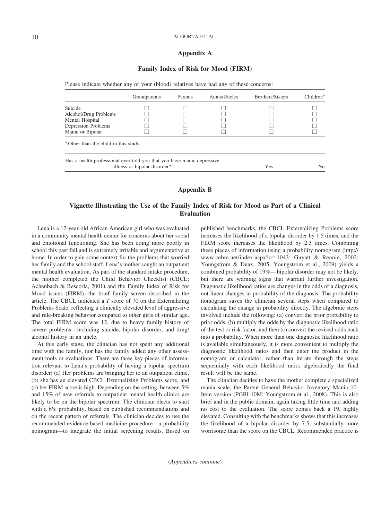# 10 ALGORTA ET AL.

# **Appendix A**

## **Family Index of Risk for Mood (FIRM)**

Please indicate whether any of your (blood) relatives have had any of these concerns:

|                                                                            | Grandparents                 | Parents | Aunts/Uncles | Brothers/Sisters | Children <sup>a</sup> |
|----------------------------------------------------------------------------|------------------------------|---------|--------------|------------------|-----------------------|
| Suicide<br>Alcohol/Drug Problems<br>Mental Hospital<br>Depression Problems |                              |         |              |                  |                       |
| Manic or Bipolar                                                           |                              |         |              |                  |                       |
| <sup>a</sup> Other than the child in this study.                           |                              |         |              |                  |                       |
| Has a health professional ever told you that you have manic-depressive     | illness or bipolar disorder? |         |              | <b>Yes</b>       | No                    |

# **Appendix B**

# **Vignette Illustrating the Use of the Family Index of Risk for Mood as Part of a Clinical Evaluation**

Lena is a 12-year-old African American girl who was evaluated in a community mental health center for concerns about her social and emotional functioning. She has been doing more poorly in school this past fall and is extremely irritable and argumentative at home. In order to gain some context for the problems that worried her family and the school staff, Lena's mother sought an outpatient mental health evaluation. As part of the standard intake procedure, the mother completed the Child Behavior Checklist (CBCL; Achenbach & Rescorla, 2001) and the Family Index of Risk for Mood issues (FIRM), the brief family screen described in the article. The CBCL indicated a *T* score of 70 on the Externalizing Problems Scale, reflecting a clinically elevated level of aggressive and rule-breaking behavior compared to other girls of similar age. The total FIRM score was 12, due to heavy family history of severe problems—including suicide, bipolar disorder, and drug/ alcohol history in an uncle.

At this early stage, the clinician has not spent any additional time with the family, nor has the family added any other assessment tools or evaluations. There are three key pieces of information relevant to Lena's probability of having a bipolar spectrum disorder: (a) Her problems are bringing her to an outpatient clinic, (b) she has an elevated CBCL Externalizing Problems score, and (c) her FIRM score is high. Depending on the setting, between 5% and 15% of new referrals to outpatient mental health clinics are likely to be on the bipolar spectrum. The clinician elects to start with a 6% probability, based on published recommendations and on the recent pattern of referrals. The clinician decides to use the recommended evidence-based medicine procedure—a probability nomogram—to integrate the initial screening results. Based on

published benchmarks, the CBCL Externalizing Problems score increases the likelihood of a bipolar disorder by 1.5 times, and the FIRM score increases the likelihood by 2.5 times. Combining these pieces of information using a probability nomogram (http:// www.cebm.net/index.aspx?o=1043; Guyatt & Rennie, 2002; Youngstrom & Duax, 2005; Youngstrom et al., 2009) yields a combined probability of 19%— bipolar disorder may not be likely, but there are warning signs that warrant further investigation. Diagnostic likelihood ratios are changes in the odds of a diagnosis, not linear changes in probability of the diagnosis. The probability nomogram saves the clinician several steps when compared to calculating the change in probability directly. The algebraic steps involved include the following: (a) convert the prior probability to prior odds, (b) multiply the odds by the diagnostic likelihood ratio of the test or risk factor, and then (c) convert the revised odds back into a probability. When more than one diagnostic likelihood ratio is available simultaneously, it is more convenient to multiply the diagnostic likelihood ratios and then enter the product in the nomogram or calculator, rather than iterate through the steps sequentially with each likelihood ratio; algebraically the final result will be the same.

The clinician decides to have the mother complete a specialized mania scale, the Parent General Behavior Inventory–Mania 10- Item version (PGBI-10M; Youngstrom et al., 2008). This is also brief and in the public domain, again taking little time and adding no cost to the evaluation. The score comes back a 19, highly elevated. Consulting with the benchmarks shows that this increases the likelihood of a bipolar disorder by 7.5, substantially more worrisome than the score on the CBCL. Recommended practice is

(*Appendices continue*)